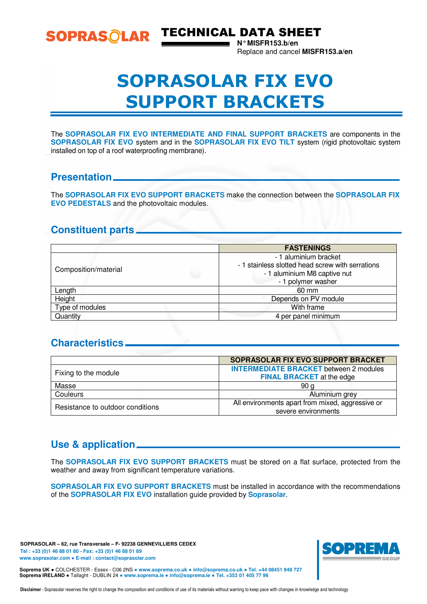SOPRASOLAR TECHNICAL DATA SHEET

**N° MISFR153.b/en**  Replace and cancel **MISFR153.a/en** 

# SOPRASOLAR FIX EVO SUPPORT BRACKETS

The **SOPRASOLAR FIX EVO INTERMEDIATE AND FINAL SUPPORT BRACKETS** are components in the **SOPRASOLAR FIX EVO** system and in the **SOPRASOLAR FIX EVO TILT** system (rigid photovoltaic system installed on top of a roof waterproofing membrane).

#### **Presentation**

The **SOPRASOLAR FIX EVO SUPPORT BRACKETS** make the connection between the **SOPRASOLAR FIX EVO PEDESTALS** and the photovoltaic modules.

# **Constituent parts**

|                      | <b>FASTENINGS</b>                                                                                                               |
|----------------------|---------------------------------------------------------------------------------------------------------------------------------|
| Composition/material | - 1 aluminium bracket<br>- 1 stainless slotted head screw with serrations<br>- 1 aluminium M8 captive nut<br>- 1 polymer washer |
| Length               | 60 mm                                                                                                                           |
| Height               | Depends on PV module                                                                                                            |
| Type of modules      | With frame                                                                                                                      |
| Quantity             | 4 per panel minimum                                                                                                             |

# **Characteristics**

|                                  | SOPRASOLAR FIX EVO SUPPORT BRACKET               |
|----------------------------------|--------------------------------------------------|
| Fixing to the module             | <b>INTERMEDIATE BRACKET</b> between 2 modules    |
|                                  | <b>FINAL BRACKET</b> at the edge                 |
| Masse                            | 90 a                                             |
| Couleurs                         | Aluminium grey                                   |
| Resistance to outdoor conditions | All environments apart from mixed, aggressive or |
|                                  | severe environments                              |

# **Use & application**

The **SOPRASOLAR FIX EVO SUPPORT BRACKETS** must be stored on a flat surface, protected from the weather and away from significant temperature variations.

**SOPRASOLAR FIX EVO SUPPORT BRACKETS** must be installed in accordance with the recommendations of the **SOPRASOLAR FIX EVO** installation guide provided by **Soprasolar**.

**SOPRASOLAR – 62, rue Transversale – F- 92238 GENNEVILLIERS CEDEX Tel : +33 (0)1 46 88 01 80 - Fax: +33 (0)1 46 88 01 89 www.soprasolar.com** ● **E-mail : contact@soprasolar.com** 



**Soprema UK** ● COLCHESTER - Essex - C06 2NS ● **www.soprema.co.uk** ● **info@soprema.co.uk** ● **Tel. +44 08451 948 727 Soprema IRELAND** ● Tallaght - DUBLIN 24 ● **www.soprema.ie** ● **info@soprema.ie** ● **Tel. +353 01 405 77 96**